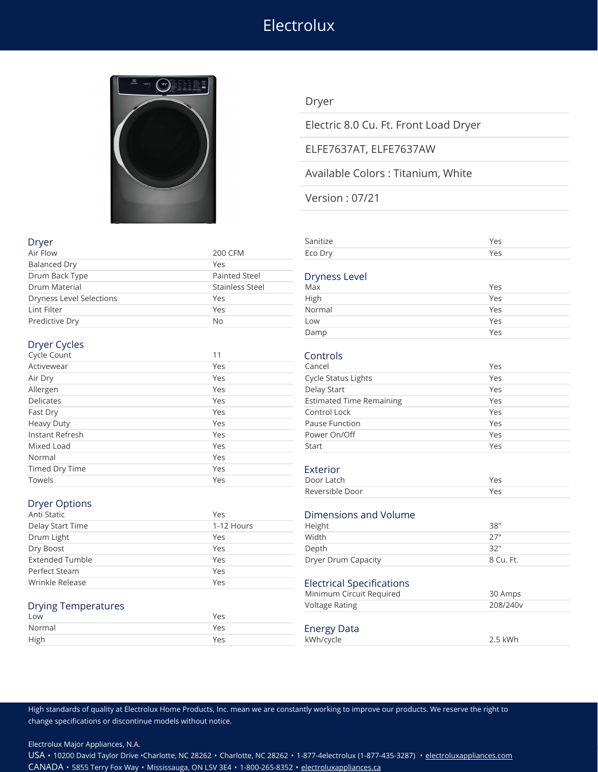# **Electrolux**



### Dryer

Electric 8.0 Cu. Ft. Front Load Dryer

### ELFE7637AT, ELFE7637AW

### Available Colors : Titanium, White

Version : 07/21

| Air Flow                        | 200 CFM              | Eco Dry                         | Yes |
|---------------------------------|----------------------|---------------------------------|-----|
| <b>Balanced Dry</b>             | Yes                  |                                 |     |
| Drum Back Type                  | <b>Painted Steel</b> | <b>Dryness Level</b>            |     |
| Drum Material                   | Stainless Steel      | Max                             | Yes |
| <b>Dryness Level Selections</b> | Yes                  | High                            | Yes |
| Lint Filter                     | Yes                  | Normal                          | Yes |
| Predictive Dry                  | No                   | Low                             | Yes |
|                                 |                      | Damp                            | Yes |
| Dryer Cycles                    |                      |                                 |     |
| Cycle Count                     | 11                   | Controls                        |     |
| Activewear                      | Yes                  | Cancel                          | Yes |
| Air Dry                         | Yes                  | <b>Cycle Status Lights</b>      | Yes |
| Allergen                        | Yes                  | Delay Start                     | Yes |
| <b>Delicates</b>                | Yes                  | <b>Estimated Time Remaining</b> | Yes |
| Fast Dry                        | Yes                  | Control Lock                    | Yes |
| <b>Heavy Duty</b>               | Yes                  | Pause Function                  | Yes |
| Instant Refresh                 | Yes                  | Power On/Off                    | Yes |
| Mixed Load                      | Yes                  | Start                           | Yes |
| Normal                          | Yes                  |                                 |     |
| Timed Dry Time                  | Yes                  | Exterior                        |     |
| Towels                          | Yes                  | Door Latch                      | Yes |
|                                 |                      | Reversible Door                 | Yes |

## Dryer Options

| Anti Static      | Yes        | Dimensions and Volume     |           |
|------------------|------------|---------------------------|-----------|
| Delay Start Time | 1-12 Hours | Height                    | 38"       |
| Drum Light       | Yes        | Width                     | 27"       |
| Dry Boost        | Yes        | Depth                     | 32"       |
| Extended Tumble  | Yes        | Dryer Drum Capacity       | 8 Cu. Ft. |
| Perfect Steam    | Yes        |                           |           |
| Wrinkle Release  | Yes        | Electrical Specifications |           |

### Drying Temperatures

| Low    |                                       |     |
|--------|---------------------------------------|-----|
| Normal | <b>Energy Data</b>                    |     |
| High   | <wh cvcle<="" td=""><td>:Wh</td></wh> | :Wh |

| Dryer                    |                 | Sanitize      | Yes      |
|--------------------------|-----------------|---------------|----------|
| Air Flow                 | 200 CFM         | Eco Dry       | Yes      |
| <b>Balanced Dry</b>      | Yes             |               |          |
| Drum Back Type           | Painted Steel   | Dryness Level |          |
| Drum Material            | Stainless Steel | Max           | Yes      |
| Dryness Level Selections | Yes             | High          | Yes      |
| Lint Eiltor              | Vac             | <b>Normal</b> | $V_{AC}$ |

| Normal | Yes |
|--------|-----|
| Low    | Yes |
| Damp   | Yes |
|        |     |

| Yes |
|-----|
| Yes |
| Yes |
| Yes |
| Yes |
| Yes |
| Yes |
| Yes |
|     |

| Door Latch      | Yes |  |
|-----------------|-----|--|
| Reversible Door | Yes |  |

### Dimensions and Volume

| Height              | 38"       |
|---------------------|-----------|
| Width               | -27"      |
| Depth               | 32"       |
| Dryer Drum Capacity | 8 Cu. Ft. |
|                     |           |

## $\overline{\phantom{a}}$  Electrical Specifications

| Minimum Circuit Required        | 30 Amps              |
|---------------------------------|----------------------|
| Voltage Rating                  | 208/240 <sub>V</sub> |
| <b>Energy Data</b><br>kWh/cycle | 2.5 kWh              |

High standards of quality at Electrolux Home Products, Inc. mean we are constantly working to improve our products. We reserve the right to change specifications or discontinue models without notice.

Electrolux Major Appliances, N.A.

USA • 10200 David Taylor Drive •Charlotte, NC 28262 • Charlotte, NC 28262 • 1-877-4electrolux (1-877-435-3287) • [electroluxappliances.com](http://electroluxappliances.com) CANADA • 5855 Terry Fox Way • Mississauga, ON L5V 3E4 • 1-800-265-8352 • [electroluxappliances.ca](http://electroluxappliances.ca)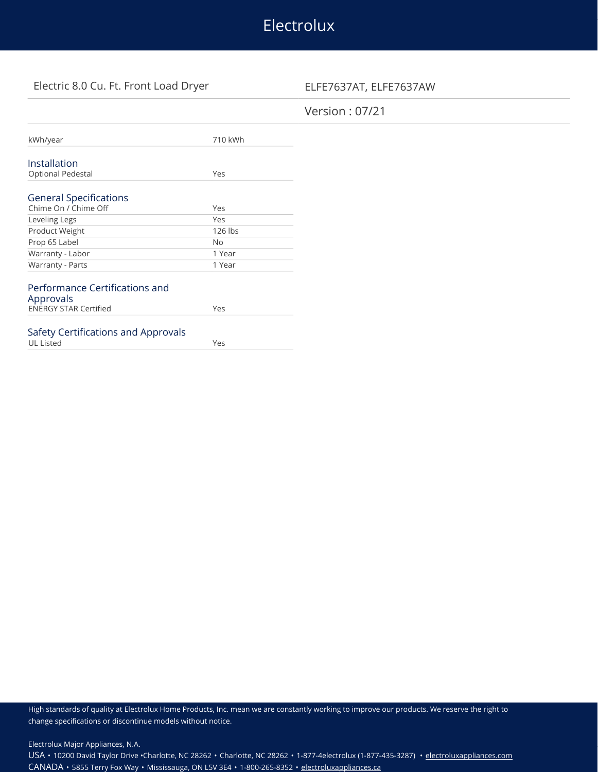# Electrolux

## Electric 8.0 Cu. Ft. Front Load Dryer ELFE7637AT, ELFE7637AW

### Version : 07/21

| kWh/year                            | 710 kWh |
|-------------------------------------|---------|
|                                     |         |
| Installation                        |         |
| <b>Optional Pedestal</b>            | Yes     |
|                                     |         |
| <b>General Specifications</b>       |         |
| Chime On / Chime Off                | Yes     |
| Leveling Legs                       | Yes     |
| Product Weight                      | 126 lbs |
| Prop 65 Label                       | Nο      |
| Warranty - Labor                    | 1 Year  |
| Warranty - Parts                    | 1 Year  |
|                                     |         |
| Performance Certifications and      |         |
| Approvals                           |         |
| <b>ENERGY STAR Certified</b>        | Yes     |
|                                     |         |
| Safety Certifications and Approvals |         |
| <b>UL Listed</b>                    | Yes     |

High standards of quality at Electrolux Home Products, Inc. mean we are constantly working to improve our products. We reserve the right to change specifications or discontinue models without notice.

Electrolux Major Appliances, N.A.

USA • 10200 David Taylor Drive •Charlotte, NC 28262 • Charlotte, NC 28262 • 1-877-4electrolux (1-877-435-3287) • [electroluxappliances.com](http://electroluxappliances.com) CANADA • 5855 Terry Fox Way • Mississauga, ON L5V 3E4 • 1-800-265-8352 • [electroluxappliances.ca](http://electroluxappliances.ca)